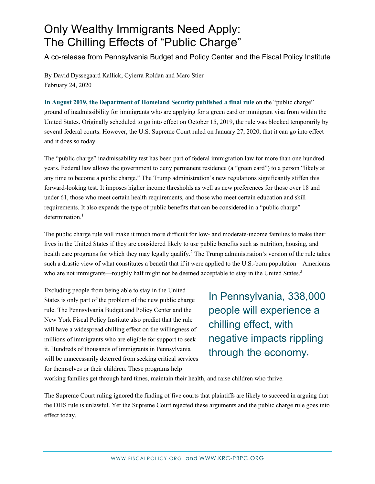## Only Wealthy Immigrants Need Apply: The Chilling Effects of "Public Charge"

A co-release from Pennsylvania Budget and Policy Center and the Fiscal Policy Institute

By David Dyssegaard Kallick, Cyierra Roldan and Marc Stier February 24, 2020

**In August 2019, the Department of Homeland Security published a final rule** on the "public charge" ground of inadmissibility for immigrants who are applying for a green card or immigrant visa from within the United States. Originally scheduled to go into effect on October 15, 2019, the rule was blocked temporarily by several federal courts. However, the U.S. Supreme Court ruled on January 27, 2020, that it can go into effect and it does so today.

The "public charge" inadmissability test has been part of federal immigration law for more than one hundred years. Federal law allows the government to deny permanent residence (a "green card") to a person "likely at any time to become a public charge." The Trump administration's new regulations significantly stiffen this forward-looking test. It imposes higher income thresholds as well as new preferences for those over 18 and under 61, those who meet certain health requirements, and those who meet certain education and skill requirements. It also expands the type of public benefits that can be considered in a "public charge"  $d$ etermination<sup>1</sup>

The public charge rule will make it much more difficult for low- and moderate-income families to make their lives in the United States if they are considered likely to use public benefits such as nutrition, housing, and health care programs for which they may legally qualify.<sup>2</sup> The Trump administration's version of the rule takes such a drastic view of what constitutes a benefit that if it were applied to the U.S.-born population—Americans who are not immigrants—roughly half might not be deemed acceptable to stay in the United States.<sup>3</sup>

Excluding people from being able to stay in the United States is only part of the problem of the new public charge rule. The Pennsylvania Budget and Policy Center and the New York Fiscal Policy Institute also predict that the rule will have a widespread chilling effect on the willingness of millions of immigrants who are eligible for support to seek it. Hundreds of thousands of immigrants in Pennsylvania will be unnecessarily deterred from seeking critical services for themselves or their children. These programs help

In Pennsylvania, 338,000 people will experience a chilling effect, with negative impacts rippling through the economy.

working families get through hard times, maintain their health, and raise children who thrive.

The Supreme Court ruling ignored the finding of five courts that plaintiffs are likely to succeed in arguing that the DHS rule is unlawful. Yet the Supreme Court rejected these arguments and the public charge rule goes into effect today.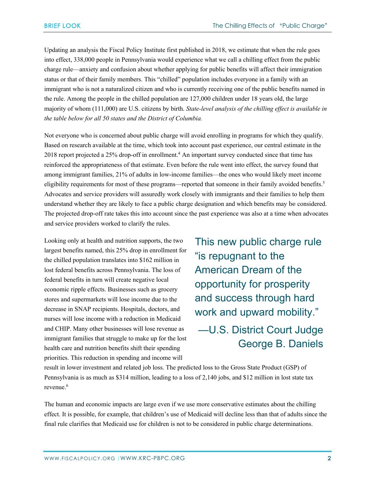Updating an analysis the Fiscal Policy Institute first published in 2018, we estimate that when the rule goes into effect, 338,000 people in Pennsylvania would experience what we call a chilling effect from the public charge rule—anxiety and confusion about whether applying for public benefits will affect their immigration status or that of their family members. This "chilled" population includes everyone in a family with an immigrant who is not a naturalized citizen and who is currently receiving one of the public benefits named in the rule. Among the people in the chilled population are 127,000 children under 18 years old, the large majority of whom (111,000) are U.S. citizens by birth. *State-level analysis of the chilling effect is available in the table below for all 50 states and the District of Columbia.*

Not everyone who is concerned about public charge will avoid enrolling in programs for which they qualify. Based on research available at the time, which took into account past experience, our central estimate in the 2018 report projected a 25% drop-off in enrollment. <sup>4</sup> An important survey conducted since that time has reinforced the appropriateness of that estimate. Even before the rule went into effect, the survey found that among immigrant families, 21% of adults in low-income families—the ones who would likely meet income eligibility requirements for most of these programs—reported that someone in their family avoided benefits.<sup>5</sup> Advocates and service providers will assuredly work closely with immigrants and their families to help them understand whether they are likely to face a public charge designation and which benefits may be considered. The projected drop-off rate takes this into account since the past experience was also at a time when advocates and service providers worked to clarify the rules.

Looking only at health and nutrition supports, the two largest benefits named, this 25% drop in enrollment for the chilled population translates into \$162 million in lost federal benefits across Pennsylvania. The loss of federal benefits in turn will create negative local economic ripple effects. Businesses such as grocery stores and supermarkets will lose income due to the decrease in SNAP recipients. Hospitals, doctors, and nurses will lose income with a reduction in Medicaid and CHIP. Many other businesses will lose revenue as immigrant families that struggle to make up for the lost health care and nutrition benefits shift their spending priorities. This reduction in spending and income will

This new public charge rule "is repugnant to the American Dream of the opportunity for prosperity and success through hard work and upward mobility." —U.S. District Court Judge

George B. Daniels

result in lower investment and related job loss. The predicted loss to the Gross State Product (GSP) of Pennsylvania is as much as \$314 million, leading to a loss of 2,140 jobs, and \$12 million in lost state tax revenue.<sup>6</sup>

The human and economic impacts are large even if we use more conservative estimates about the chilling effect. It is possible, for example, that children's use of Medicaid will decline less than that of adults since the final rule clarifies that Medicaid use for children is not to be considered in public charge determinations.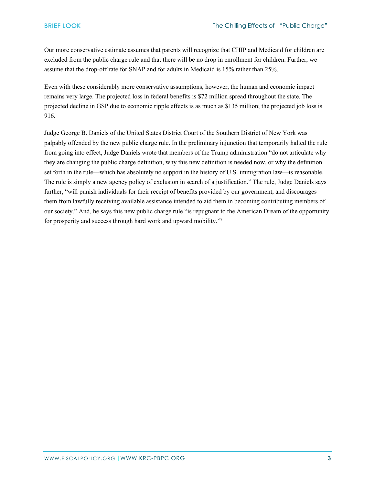Our more conservative estimate assumes that parents will recognize that CHIP and Medicaid for children are excluded from the public charge rule and that there will be no drop in enrollment for children. Further, we assume that the drop-off rate for SNAP and for adults in Medicaid is 15% rather than 25%.

Even with these considerably more conservative assumptions, however, the human and economic impact remains very large. The projected loss in federal benefits is \$72 million spread throughout the state. The projected decline in GSP due to economic ripple effects is as much as \$135 million; the projected job loss is 916.

Judge George B. Daniels of the United States District Court of the Southern District of New York was palpably offended by the new public charge rule. In the preliminary injunction that temporarily halted the rule from going into effect, Judge Daniels wrote that members of the Trump administration "do not articulate why they are changing the public charge definition, why this new definition is needed now, or why the definition set forth in the rule—which has absolutely no support in the history of U.S. immigration law—is reasonable. The rule is simply a new agency policy of exclusion in search of a justification." The rule, Judge Daniels says further, "will punish individuals for their receipt of benefits provided by our government, and discourages them from lawfully receiving available assistance intended to aid them in becoming contributing members of our society." And, he says this new public charge rule "is repugnant to the American Dream of the opportunity for prosperity and success through hard work and upward mobility."7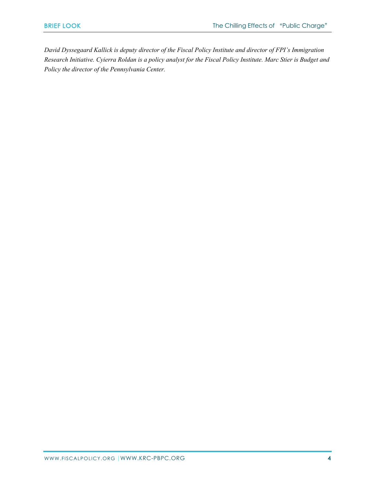*David Dyssegaard Kallick is deputy director of the Fiscal Policy Institute and director of FPI's Immigration Research Initiative. Cyierra Roldan is a policy analyst for the Fiscal Policy Institute. Marc Stier is Budget and Policy the director of the Pennsylvania Center.*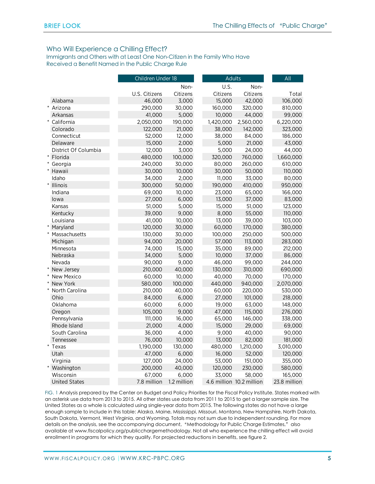## Who Will Experience a Chilling Effect?

Immigrants and Others with at Least One Non-Citizen in the Family Who Have Received a Benefit Named in the Public Charge Rule

|                      | Children Under 18 |             | <b>Adults</b> |                          |  | All          |
|----------------------|-------------------|-------------|---------------|--------------------------|--|--------------|
|                      | Non-              |             | U.S.<br>Non-  |                          |  |              |
|                      | U.S. Citizens     | Citizens    | Citizens      | Citizens                 |  | Total        |
| Alabama              | 46,000            | 3,000       | 15,000        | 42,000                   |  | 106,000      |
| $\ast$<br>Arizona    | 290,000           | 30,000      | 160,000       | 320,000                  |  | 810,000      |
| Arkansas             | 41,000            | 5,000       | 10,000        | 44,000                   |  | 99,000       |
| $\ast$<br>California | 2,050,000         | 190,000     | 1,420,000     | 2,560,000                |  | 6,220,000    |
| Colorado             | 122,000           | 21,000      | 38,000        | 142,000                  |  | 323,000      |
| Connecticut          | 52,000            | 12,000      | 38,000        | 84,000                   |  | 186,000      |
| Delaware             | 15,000            | 2,000       | 5,000         | 21,000                   |  | 43,000       |
| District Of Columbia | 12,000            | 3,000       | 5,000         | 24,000                   |  | 44,000       |
| Florida              | 480,000           | 100,000     | 320,000       | 760,000                  |  | 1,660,000    |
| Georgia              | 240,000           | 30,000      | 80,000        | 260,000                  |  | 610,000      |
| Hawaii               | 30,000            | 10,000      | 30,000        | 50,000                   |  | 110,000      |
| Idaho                | 34,000            | 2,000       | 11,000        | 33,000                   |  | 80,000       |
| <b>Illinois</b>      | 300,000           | 50,000      | 190,000       | 410,000                  |  | 950,000      |
| Indiana              | 69,000            | 10,000      | 23,000        | 65,000                   |  | 166,000      |
| lowa                 | 27,000            | 6,000       | 13,000        | 37,000                   |  | 83,000       |
| Kansas               | 51,000            | 5,000       | 15,000        | 51,000                   |  | 123,000      |
| Kentucky             | 39,000            | 9,000       | 8,000         | 55,000                   |  | 110,000      |
| Louisiana            | 41,000            | 10,000      | 13,000        | 39,000                   |  | 103,000      |
| Maryland             | 120,000           | 30,000      | 60,000        | 170,000                  |  | 380,000      |
| Massachusetts        | 130,000           | 30,000      | 100,000       | 250,000                  |  | 500,000      |
| Michigan             | 94,000            | 20,000      | 57,000        | 113,000                  |  | 283,000      |
| Minnesota            | 74,000            | 15,000      | 35,000        | 89,000                   |  | 212,000      |
| Nebraska             | 34,000            | 5,000       | 10,000        | 37,000                   |  | 86,000       |
| Nevada               | 90,000            | 9,000       | 46,000        | 99,000                   |  | 244,000      |
| New Jersey           | 210,000           | 40,000      | 130,000       | 310,000                  |  | 690,000      |
| New Mexico           | 60,000            | 10,000      | 40,000        | 70,000                   |  | 170,000      |
| New York             | 580,000           | 100,000     | 440,000       | 940,000                  |  | 2,070,000    |
| North Carolina       | 210,000           | 40,000      | 60,000        | 220,000                  |  | 530,000      |
| Ohio                 | 84,000            | 6,000       | 27,000        | 101,000                  |  | 218,000      |
| Oklahoma             | 60,000            | 6,000       | 19,000        | 63,000                   |  | 148,000      |
| Oregon               | 105,000           | 9,000       | 47,000        | 115,000                  |  | 276,000      |
| Pennsylvania         | 111,000           | 16,000      | 65,000        | 146,000                  |  | 338,000      |
| Rhode Island         | 21,000            | 4,000       | 15,000        | 29,000                   |  | 69,000       |
| South Carolina       | 36,000            | 4,000       | 9,000         | 40,000                   |  | 90,000       |
| Tennessee            | 76,000            | 10,000      | 13,000        | 82,000                   |  | 181,000      |
| *<br>Texas           | 1,190,000         | 130,000     | 480,000       | 1,210,000                |  | 3,010,000    |
| Utah                 | 47,000            | 6,000       | 16,000        | 52,000                   |  | 120,000      |
| Virginia             | 127,000           | 24,000      | 53,000        | 151,000                  |  | 355,000      |
| Washington           | 200,000           | 40,000      | 120,000       | 230,000                  |  | 580,000      |
| Wisconsin            | 67,000            | 6,000       | 33,000        | 58,000                   |  | 165,000      |
| <b>United States</b> | 7.8 million       | 1.2 million |               | 4.6 million 10.2 million |  | 23.8 million |

FIG. 1 Analysis prepared by the Center on Budget and Policy Priorities for the Fiscal Policy Institute. States marked with an asterisk use data from 2013 to 2015. All other states use data from 2011 to 2015 to get a larger sample size. The United States as a whole is calculated using single-year data from 2015. The following states do not have a large enough sample to include in this table: Alaska, Maine, Mississippi, Missouri, Montana, New Hampshire, North Dakota, South Dakota, Vermont, West Virginia, and Wyoming. Totals may not sum due to independent rounding. For more details on the analysis, see the accompanying document, "Methodology for Public Charge Estimates," also available at www.fiscalpolicy.org/publicchargemethodology. Not all who experience the chilling effect will avoid enrollment in programs for which they qualify. For projected reductions in benefits, see figure 2.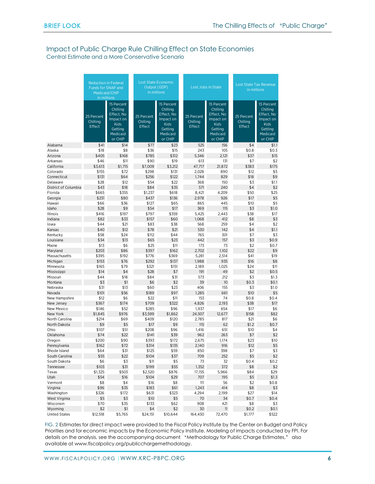## Impact of Public Charge Rule Chilling Effect on State Economies

Central Estimate and a More Conservative Scenario

|                          | <b>Reduction in Federal</b><br>Funds for SNAP and<br>Medicaid/CHIP<br>in millions |                                                                                             | <b>Lost State Economic</b><br>Output (GDP)<br>in millions |                                                                                                    |                                  | Lost Jobs in State                                                                                 | Lost State Tax Revenue<br>in millions |                                                                                                    |  |
|--------------------------|-----------------------------------------------------------------------------------|---------------------------------------------------------------------------------------------|-----------------------------------------------------------|----------------------------------------------------------------------------------------------------|----------------------------------|----------------------------------------------------------------------------------------------------|---------------------------------------|----------------------------------------------------------------------------------------------------|--|
|                          | 25 Percent<br>Chilling<br>Effect                                                  | 15 Percent<br>Chilling<br>Effect, No<br>Impact on<br>Kids<br>Getting<br>Medicaid<br>or CHIP | 25 Percent<br>Chilling<br>Effect                          | 15 Percent<br>Chilling<br>Effect, No<br>Impact on<br><b>Kids</b><br>Getting<br>Medicaid<br>or CHIP | 25 Percent<br>Chilling<br>Effect | 15 Percent<br>Chilling<br>Effect, No<br>Impact on<br><b>Kids</b><br>Getting<br>Medicaid<br>or CHIP | 25 Percent<br>Chilling<br>Effect      | 15 Percent<br>Chilling<br>Effect, No<br>Impact on<br><b>Kids</b><br>Getting<br>Medicaid<br>or CHIP |  |
| Alabama                  | \$41                                                                              | \$14                                                                                        | \$77                                                      | \$23                                                                                               | 525                              | 156                                                                                                | \$4                                   | \$1.1                                                                                              |  |
| Alaska                   | \$18                                                                              | \$8                                                                                         | \$36                                                      | \$15                                                                                               | 243                              | 105                                                                                                | \$0.8                                 | \$0.3                                                                                              |  |
| Arizona                  | \$405                                                                             | \$168                                                                                       | \$785                                                     | \$312                                                                                              | 5,346                            | 2,121                                                                                              | \$37                                  | \$15                                                                                               |  |
| Arkansas                 | \$46                                                                              | \$11                                                                                        | \$90                                                      | \$19                                                                                               | 613                              | 131                                                                                                | \$7                                   | \$2                                                                                                |  |
| California               | \$3,613                                                                           | \$1,715                                                                                     | \$7,009                                                   | \$3,212                                                                                            | 47,717                           | 21,872                                                                                             | \$383                                 | \$175                                                                                              |  |
| Colorado                 | \$155                                                                             | \$72                                                                                        | \$298                                                     | \$131                                                                                              | 2,028                            | 890                                                                                                | \$12                                  | \$5                                                                                                |  |
| Connecticut              | \$131                                                                             | \$64                                                                                        | \$256                                                     | \$122                                                                                              | 1,744                            | 829                                                                                                | \$18                                  | \$9                                                                                                |  |
| Delaware                 | \$28                                                                              | \$12                                                                                        | \$54                                                      | \$22                                                                                               | 368                              | 150                                                                                                | \$3                                   | \$1.1                                                                                              |  |
| District of Columbia     | \$43                                                                              | \$18                                                                                        | \$84                                                      | \$35                                                                                               | 571                              | 240                                                                                                | \$4                                   | \$2                                                                                                |  |
| Florida                  | \$665                                                                             | \$355                                                                                       | \$1,237                                                   | \$618                                                                                              | 8,421                            | 4,209                                                                                              | \$50                                  | \$25                                                                                               |  |
| Georgia                  | \$231                                                                             | \$80                                                                                        | \$437                                                     | \$136                                                                                              | 2,978                            | 926                                                                                                | \$17                                  | \$5                                                                                                |  |
| Hawaii                   | \$66                                                                              | \$36                                                                                        | \$127                                                     | \$65                                                                                               | 865                              | 445                                                                                                | \$10                                  | \$5                                                                                                |  |
| Idaho                    | \$28                                                                              | \$9                                                                                         | \$54                                                      | \$17                                                                                               | 369                              | 115                                                                                                | \$3                                   | \$1.0                                                                                              |  |
| Illinois                 | \$416                                                                             | \$197                                                                                       | \$797                                                     | \$359                                                                                              | 5,425                            | 2,443                                                                                              | \$38                                  | \$17                                                                                               |  |
| Indiana                  | \$82                                                                              | \$33                                                                                        | \$157                                                     | \$60                                                                                               | 1,068                            | 412                                                                                                | \$8                                   | \$3                                                                                                |  |
| lowa                     | \$44                                                                              | \$21                                                                                        | \$83                                                      | \$38                                                                                               | 568                              | 259                                                                                                | \$4                                   | \$2                                                                                                |  |
| Kansas                   | \$40                                                                              | \$12                                                                                        | \$78                                                      | \$21                                                                                               | 530                              | 142                                                                                                | \$4                                   | \$1.1                                                                                              |  |
| Kentucky                 | \$58                                                                              | \$24                                                                                        | \$112                                                     | \$44                                                                                               | 765                              | 301                                                                                                | \$7                                   | \$3                                                                                                |  |
| Louisiana                | \$34                                                                              | \$13                                                                                        | \$65                                                      | \$23                                                                                               | 442                              | 157                                                                                                | \$3                                   | \$0.9                                                                                              |  |
| Maine                    | \$13                                                                              | \$6                                                                                         | \$25                                                      | \$11                                                                                               | 173                              | 73                                                                                                 | \$2                                   | \$0.7                                                                                              |  |
| Maryland                 | \$203                                                                             | \$86                                                                                        | \$397                                                     | \$162                                                                                              | 2,702                            | 1,102                                                                                              | \$22                                  | \$9                                                                                                |  |
| Massachusetts            | \$395                                                                             | \$192                                                                                       | \$776                                                     | \$369                                                                                              | 5,281                            | 2,514                                                                                              | \$41                                  | \$19                                                                                               |  |
| Michigan                 | \$153                                                                             | \$76                                                                                        | \$292                                                     | \$137                                                                                              | 1,988                            | 935                                                                                                | \$16                                  | \$8                                                                                                |  |
| Minnesota                | \$165                                                                             | \$79                                                                                        | \$321                                                     | \$151                                                                                              | 2,189                            | 1,025                                                                                              | \$24                                  | \$11                                                                                               |  |
| Mississippi              | \$14                                                                              | \$4                                                                                         | \$28                                                      | \$7                                                                                                | 191                              | 49                                                                                                 | \$2                                   | \$0.5                                                                                              |  |
| Missouri                 | \$44                                                                              | \$18                                                                                        | \$84                                                      | \$31                                                                                               | 573                              | 212                                                                                                | \$3                                   | \$1.3                                                                                              |  |
| Montana                  | \$3                                                                               | \$1                                                                                         | \$6                                                       | \$2                                                                                                | 39                               | 10                                                                                                 | \$0.3                                 | \$0.1                                                                                              |  |
| Nebraska                 | \$31                                                                              | \$13                                                                                        | \$60                                                      | \$23                                                                                               | 406                              | 155                                                                                                | \$3                                   | \$1.0                                                                                              |  |
| Nevada                   | \$101                                                                             | \$56                                                                                        | \$189                                                     | \$97                                                                                               | 1,285                            | 661                                                                                                | \$10                                  | \$5                                                                                                |  |
| New Hampshire            | \$12                                                                              | \$6                                                                                         | \$22                                                      | \$11                                                                                               | 153                              | 74                                                                                                 | \$0.8                                 | \$0.4                                                                                              |  |
| New Jersey<br>New Mexico | \$367<br>\$146                                                                    | \$174<br>\$52                                                                               | \$709<br>\$285                                            | \$322<br>\$96                                                                                      | 4,826                            | 2,193<br>654                                                                                       | \$38<br>\$17                          | \$17<br>\$6                                                                                        |  |
| New York                 | \$1,845                                                                           | \$976                                                                                       | \$3,599                                                   | \$1,862                                                                                            | 1,937<br>24,507                  | 12.677                                                                                             | \$158                                 | \$82                                                                                               |  |
| North Carolina           | \$214                                                                             | \$69                                                                                        | \$409                                                     | \$120                                                                                              | 2.785                            | 817                                                                                                | \$21                                  | \$6                                                                                                |  |
| North Dakota             | \$9                                                                               | \$5                                                                                         | \$17                                                      | \$9                                                                                                | 115                              | 62                                                                                                 | \$1.2                                 | \$0.7                                                                                              |  |
| Ohio                     | \$107                                                                             | \$51                                                                                        | \$208                                                     | \$96                                                                                               | 1,416                            | 651                                                                                                | \$10                                  | \$4                                                                                                |  |
| Oklahoma                 | \$74                                                                              | \$22                                                                                        | \$141                                                     | \$39                                                                                               | 962                              | 263                                                                                                | \$7                                   | \$2                                                                                                |  |
| Oregon                   | \$200                                                                             | \$90                                                                                        | \$393                                                     | \$172                                                                                              | 2,675                            | 1,174                                                                                              | \$23                                  | \$10                                                                                               |  |
| Pennsylvania             | \$162                                                                             | \$72                                                                                        | \$314                                                     | \$135                                                                                              | 2.140                            | 916                                                                                                | \$12                                  | \$5                                                                                                |  |
| Rhode Island             | \$64                                                                              | \$31                                                                                        | \$125                                                     | \$59                                                                                               | 850                              | 398                                                                                                | \$7                                   | \$3                                                                                                |  |
| South Carolina           | \$55                                                                              | \$22                                                                                        | \$104                                                     | \$37                                                                                               | 709                              | 252                                                                                                | \$5                                   | \$2                                                                                                |  |
| South Dakota             | \$6                                                                               | \$3                                                                                         | \$11                                                      | \$5                                                                                                | 73                               | 32                                                                                                 | \$0.4                                 | \$0.2                                                                                              |  |
| Tennessee                | \$103                                                                             | \$31                                                                                        | \$199                                                     | \$55                                                                                               | 1,352                            | 372                                                                                                | \$8                                   | \$2                                                                                                |  |
| Texas                    | \$1,325                                                                           | \$503                                                                                       | \$2,520                                                   | \$876                                                                                              | 17,155                           | 5,966                                                                                              | \$84                                  | \$29                                                                                               |  |
| Utah                     | \$54                                                                              | \$16                                                                                        | \$104                                                     | \$29                                                                                               | 707                              | 195                                                                                                | \$5                                   | \$1.3                                                                                              |  |
| Vermont                  | \$8                                                                               | \$4                                                                                         | \$16                                                      | \$8                                                                                                | 111                              | 56                                                                                                 | \$2                                   | \$0.8                                                                                              |  |
| Virginia                 | \$96                                                                              | \$35                                                                                        | \$183                                                     | \$61                                                                                               | 1,243                            | 414                                                                                                | \$8                                   | \$3                                                                                                |  |
| Washington               | \$326                                                                             | \$172                                                                                       | \$631                                                     | \$323                                                                                              | 4,294                            | 2,199                                                                                              | \$27                                  | \$14                                                                                               |  |
| West Virginia            | \$5                                                                               | \$3                                                                                         | \$10                                                      | \$5                                                                                                | 70                               | 34                                                                                                 | \$0.7                                 | \$0.4                                                                                              |  |
| Wisconsin                | \$70                                                                              | \$35                                                                                        | \$133                                                     | \$62                                                                                               | 908                              | 421                                                                                                | \$8                                   | \$3                                                                                                |  |
| Wyoming                  | \$2                                                                               | \$1                                                                                         | \$4                                                       | \$2                                                                                                | 30                               | 11                                                                                                 | \$0.2\$                               | \$0.1                                                                                              |  |
| <b>United States</b>     | \$12,518                                                                          | \$5,765                                                                                     | \$24,151                                                  | \$10,644                                                                                           | 164,430                          | 72,470                                                                                             | \$1,177                               | \$522                                                                                              |  |

FIG. 2 Estimates for direct impact were provided to the Fiscal Policy Institute by the Center on Budget and Policy Priorities and for economic impacts by the Economic Policy Institute. Modeling of impacts conducted by FPI. For details on the analysis, see the accompanying document "Methodology for Public Charge Estimates," also available at www.fiscalpolicy.org/publicchargemethodology.